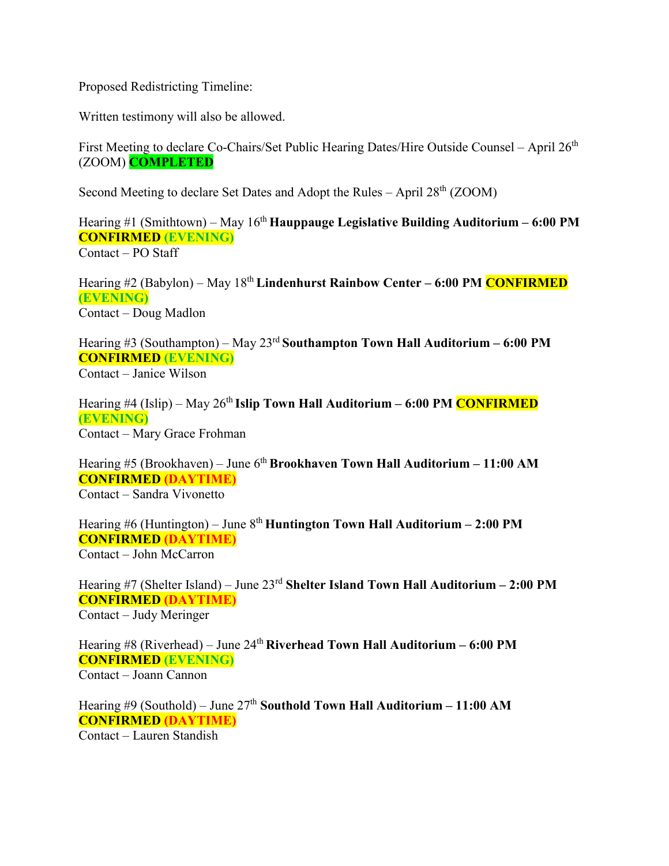Proposed Redistricting Timeline:

Written testimony will also be allowed.

First Meeting to declare Co-Chairs/Set Public Hearing Dates/Hire Outside Counsel – April 26<sup>th</sup> (ZOOM) **COMPLETED**

Second Meeting to declare Set Dates and Adopt the Rules – April 28<sup>th</sup> (ZOOM)

Hearing #1 (Smithtown) – May 16th **Hauppauge Legislative Building Auditorium – 6:00 PM CONFIRMED (EVENING)** Contact – PO Staff

Hearing #2 (Babylon) – May 18th **Lindenhurst Rainbow Center – 6:00 PM CONFIRMED (EVENING)** Contact – Doug Madlon

Hearing #3 (Southampton) – May 23rd **Southampton Town Hall Auditorium – 6:00 PM CONFIRMED (EVENING)** Contact – Janice Wilson

Hearing #4 (Islip) – May 26<sup>th</sup> **Islip Town Hall Auditorium – 6:00 PM CONFIRMED (EVENING)** Contact – Mary Grace Frohman

Hearing #5 (Brookhaven) – June 6<sup>th</sup> **Brookhaven Town Hall Auditorium – 11:00 AM CONFIRMED (DAYTIME)** Contact – Sandra Vivonetto

Hearing #6 (Huntington) – June 8th **Huntington Town Hall Auditorium – 2:00 PM CONFIRMED (DAYTIME)** Contact – John McCarron

Hearing #7 (Shelter Island) – June 23rd **Shelter Island Town Hall Auditorium – 2:00 PM CONFIRMED (DAYTIME)** Contact – Judy Meringer

Hearing #8 (Riverhead) – June 24th **Riverhead Town Hall Auditorium – 6:00 PM CONFIRMED (EVENING)** Contact – Joann Cannon

Hearing #9 (Southold) – June 27<sup>th</sup> Southold Town Hall Auditorium – 11:00 AM **CONFIRMED (DAYTIME)** Contact – Lauren Standish